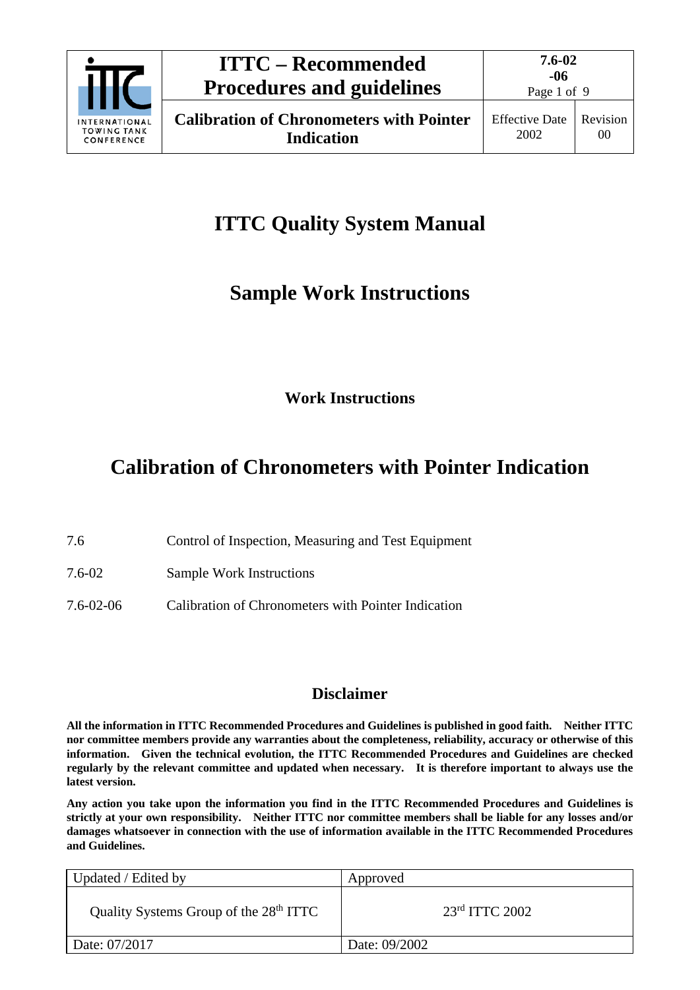

**7.6-02 -06**

## **ITTC Quality System Manual**

## **Sample Work Instructions**

**Work Instructions**

## **Calibration of Chronometers with Pointer Indication**

- 7.6 Control of Inspection, Measuring and Test Equipment
- 7.6-02 Sample Work Instructions
- 7.6-02-06 Calibration of Chronometers with Pointer Indication

#### **Disclaimer**

**All the information in ITTC Recommended Procedures and Guidelines is published in good faith. Neither ITTC nor committee members provide any warranties about the completeness, reliability, accuracy or otherwise of this information. Given the technical evolution, the ITTC Recommended Procedures and Guidelines are checked regularly by the relevant committee and updated when necessary. It is therefore important to always use the latest version.**

**Any action you take upon the information you find in the ITTC Recommended Procedures and Guidelines is strictly at your own responsibility. Neither ITTC nor committee members shall be liable for any losses and/or damages whatsoever in connection with the use of information available in the ITTC Recommended Procedures and Guidelines.**

| Updated / Edited by                                | Approved           |
|----------------------------------------------------|--------------------|
| Quality Systems Group of the 28 <sup>th</sup> ITTC | $23rd$ ITTC $2002$ |
| Date: 07/2017                                      | Date: 09/2002      |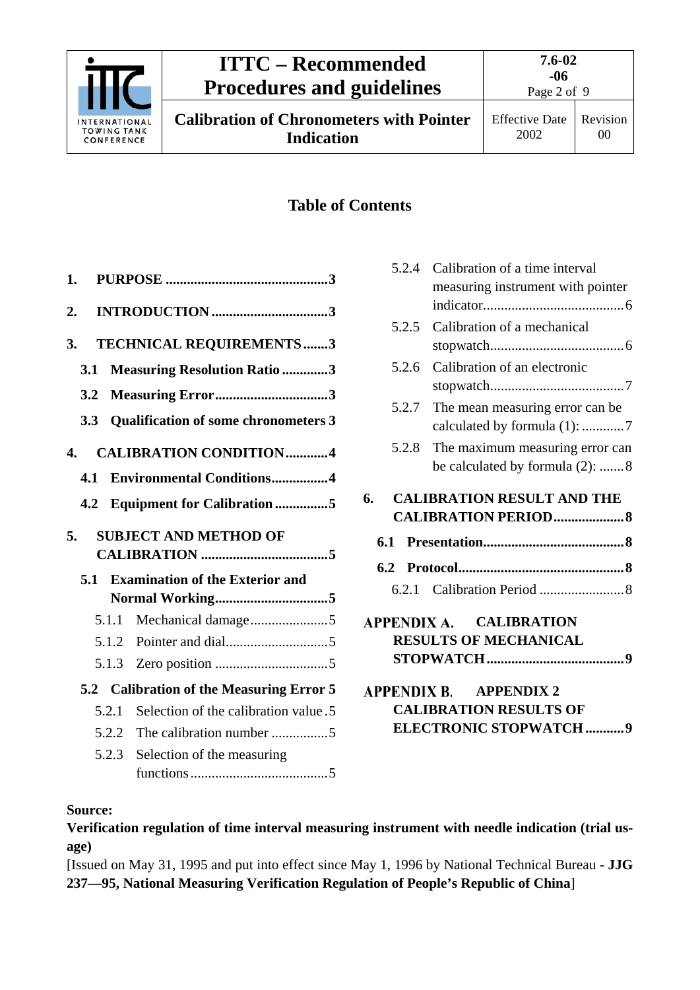

### **Table of Contents**

| 1.    |                                             |
|-------|---------------------------------------------|
| 2.    |                                             |
| 3.    | <b>TECHNICAL REQUIREMENTS3</b>              |
| 3.1   | <b>Measuring Resolution Ratio 3</b>         |
| 3.2   | Measuring Error3                            |
| 3.3   | <b>Qualification of some chronometers 3</b> |
| 4.    | <b>CALIBRATION CONDITION4</b>               |
| 4.1   | <b>Environmental Conditions4</b>            |
| 4.2   | <b>Equipment for Calibration 5</b>          |
|       |                                             |
| 5.    | <b>SUBJECT AND METHOD OF</b>                |
|       |                                             |
| 5.1   | <b>Examination of the Exterior and</b>      |
|       |                                             |
|       | Mechanical damage5<br>5.1.1                 |
|       | 5.1.2                                       |
|       |                                             |
|       | 5.2 Calibration of the Measuring Error 5    |
| 5.2.1 | Selection of the calibration value.5        |
|       | 5.2.2                                       |
|       | 5.2.3<br>Selection of the measuring         |
|       |                                             |

| 5.2.4 | Calibration of a time interval<br>measuring instrument with pointer |
|-------|---------------------------------------------------------------------|
| 5.2.5 | Calibration of a mechanical                                         |
| 5.2.6 | Calibration of an electronic                                        |
| 5.2.7 | The mean measuring error can be<br>calculated by formula (1): 7     |
| 5.2.8 | The maximum measuring error can<br>be calculated by formula (2): 8  |
| 6.    | <b>CALIBRATION RESULT AND THE</b>                                   |
|       | <b>CALIBRATION PERIOD 8</b>                                         |
| 6.1   |                                                                     |
| 6.2   |                                                                     |
|       |                                                                     |
|       | APPENDIX A. CALIBRATION<br><b>RESULTS OF MECHANICAL</b>             |

#### **Source:**

**Verification regulation of time interval measuring instrument with needle indication (trial usage)**

[Issued on May 31, 1995 and put into effect since May 1, 1996 by National Technical Bureau - **JJG 237—95, National Measuring Verification Regulation of People's Republic of China**]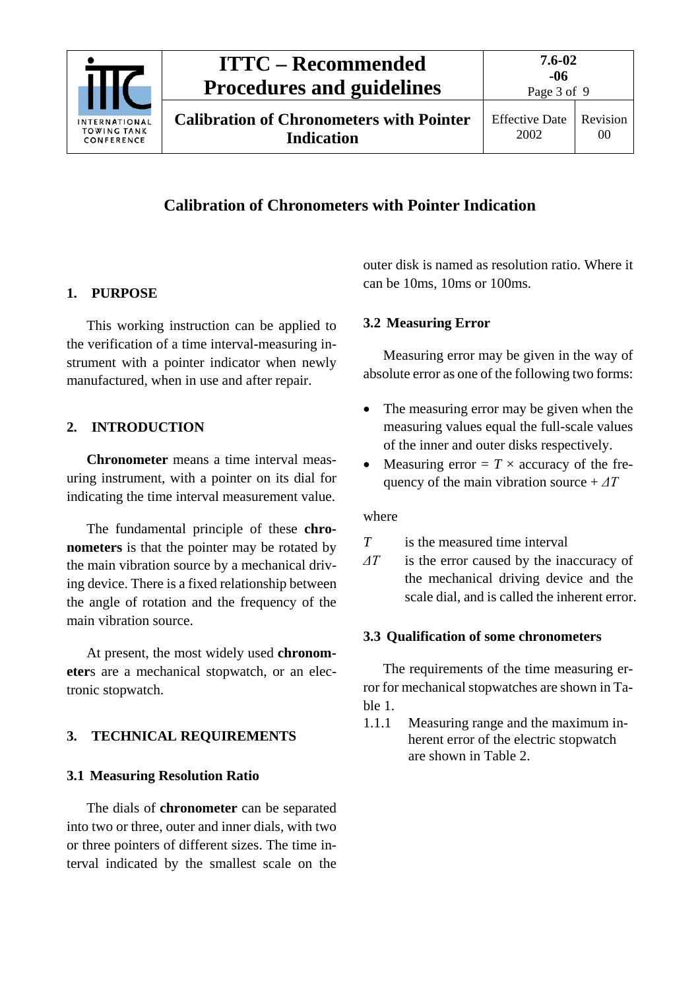

Page 3 of 9

## **Calibration of Chronometers with Pointer Indication**

### <span id="page-2-0"></span>**1. PURPOSE**

This working instruction can be applied to the verification of a time interval-measuring instrument with a pointer indicator when newly manufactured, when in use and after repair.

### <span id="page-2-1"></span>**2. INTRODUCTION**

**Chronometer** means a time interval measuring instrument, with a pointer on its dial for indicating the time interval measurement value.

The fundamental principle of these **chronometers** is that the pointer may be rotated by the main vibration source by a mechanical driving device. There is a fixed relationship between the angle of rotation and the frequency of the main vibration source.

At present, the most widely used **chronometer**s are a mechanical stopwatch, or an electronic stopwatch.

### <span id="page-2-3"></span><span id="page-2-2"></span>**3. TECHNICAL REQUIREMENTS**

### **3.1 Measuring Resolution Ratio**

The dials of **chronometer** can be separated into two or three, outer and inner dials, with two or three pointers of different sizes. The time interval indicated by the smallest scale on the outer disk is named as resolution ratio. Where it can be 10ms, 10ms or 100ms.

### <span id="page-2-4"></span>**3.2 Measuring Error**

Measuring error may be given in the way of absolute error as one of the following two forms:

- The measuring error may be given when the measuring values equal the full-scale values of the inner and outer disks respectively.
- Measuring error  $= T \times$  accuracy of the frequency of the main vibration source  $+ \Delta T$

#### where

*T* is the measured time interval

*ΔT* is the error caused by the inaccuracy of the mechanical driving device and the scale dial, and is called the inherent error.

#### <span id="page-2-5"></span>**3.3 Qualification of some chronometers**

The requirements of the time measuring error for mechanical stopwatches are shown in Table 1.

1.1.1 Measuring range and the maximum inherent error of the electric stopwatch are shown in Table 2.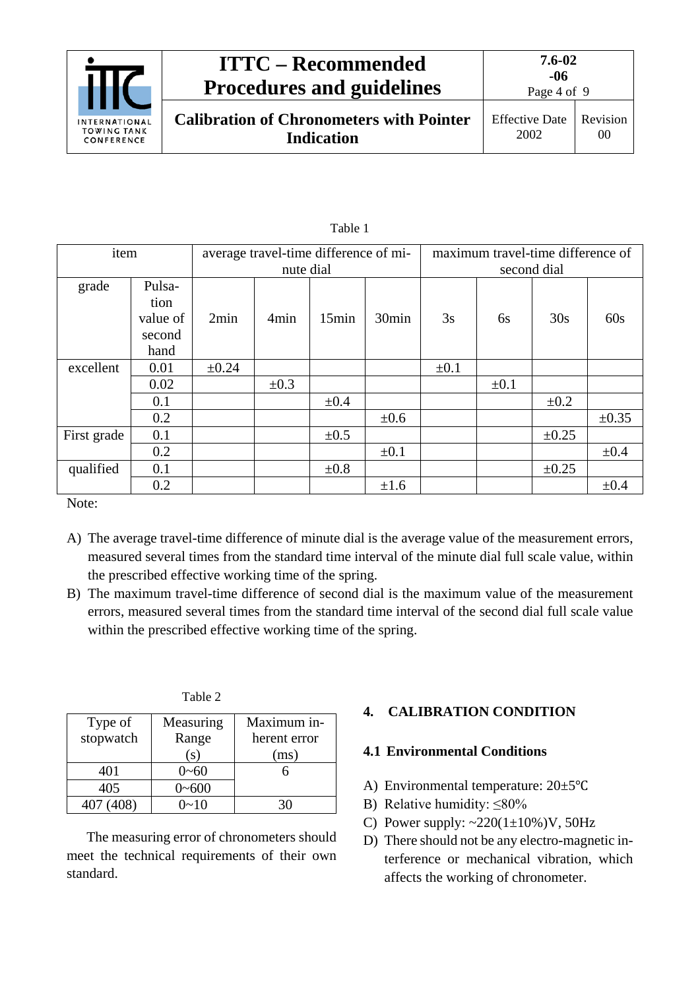

| item        |          | average travel-time difference of mi- |           |           | maximum travel-time difference of |           |           |            |            |
|-------------|----------|---------------------------------------|-----------|-----------|-----------------------------------|-----------|-----------|------------|------------|
|             |          | nute dial                             |           |           | second dial                       |           |           |            |            |
| grade       | Pulsa-   |                                       |           |           |                                   |           |           |            |            |
|             | tion     |                                       |           |           |                                   |           |           |            |            |
|             | value of | 2min                                  | 4min      | 15min     | 30 <sub>min</sub>                 | 3s        | 6s        | 30s        | 60s        |
|             | second   |                                       |           |           |                                   |           |           |            |            |
|             | hand     |                                       |           |           |                                   |           |           |            |            |
| excellent   | 0.01     | $\pm 0.24$                            |           |           |                                   | $\pm 0.1$ |           |            |            |
|             | 0.02     |                                       | $\pm 0.3$ |           |                                   |           | $\pm 0.1$ |            |            |
|             | 0.1      |                                       |           | $\pm 0.4$ |                                   |           |           | $\pm 0.2$  |            |
|             | 0.2      |                                       |           |           | $\pm 0.6$                         |           |           |            | $\pm 0.35$ |
| First grade | 0.1      |                                       |           | $\pm 0.5$ |                                   |           |           | $\pm 0.25$ |            |
|             | 0.2      |                                       |           |           | $\pm 0.1$                         |           |           |            | $\pm 0.4$  |
| qualified   | 0.1      |                                       |           | $\pm 0.8$ |                                   |           |           | ±0.25      |            |
|             | 0.2      |                                       |           |           | $\pm 1.6$                         |           |           |            | $\pm 0.4$  |

Table 1

Note:

- A) The average travel-time difference of minute dial is the average value of the measurement errors, measured several times from the standard time interval of the minute dial full scale value, within the prescribed effective working time of the spring.
- B) The maximum travel-time difference of second dial is the maximum value of the measurement errors, measured several times from the standard time interval of the second dial full scale value within the prescribed effective working time of the spring.

| וו<br>I<br>n |  |
|--------------|--|
|--------------|--|

| Type of      | Measuring            | Maximum in-  |
|--------------|----------------------|--------------|
| stopwatch    | Range                | herent error |
|              | $\left($ S $\right)$ | (ms)         |
| 401          | $0 - 60$             |              |
| 405          | $0 - 600$            |              |
| 408)<br>407. | $0 - 10$             |              |

The measuring error of chronometers should meet the technical requirements of their own standard.

#### <span id="page-3-1"></span><span id="page-3-0"></span>**4. CALIBRATION CONDITION**

#### **4.1 Environmental Conditions**

- A) Environmental temperature: 20±5℃
- B) Relative humidity:  $\leq 80\%$
- C) Power supply:  $\sim 220(1 \pm 10\%)V$ , 50Hz
- D) There should not be any electro-magnetic interference or mechanical vibration, which affects the working of chronometer.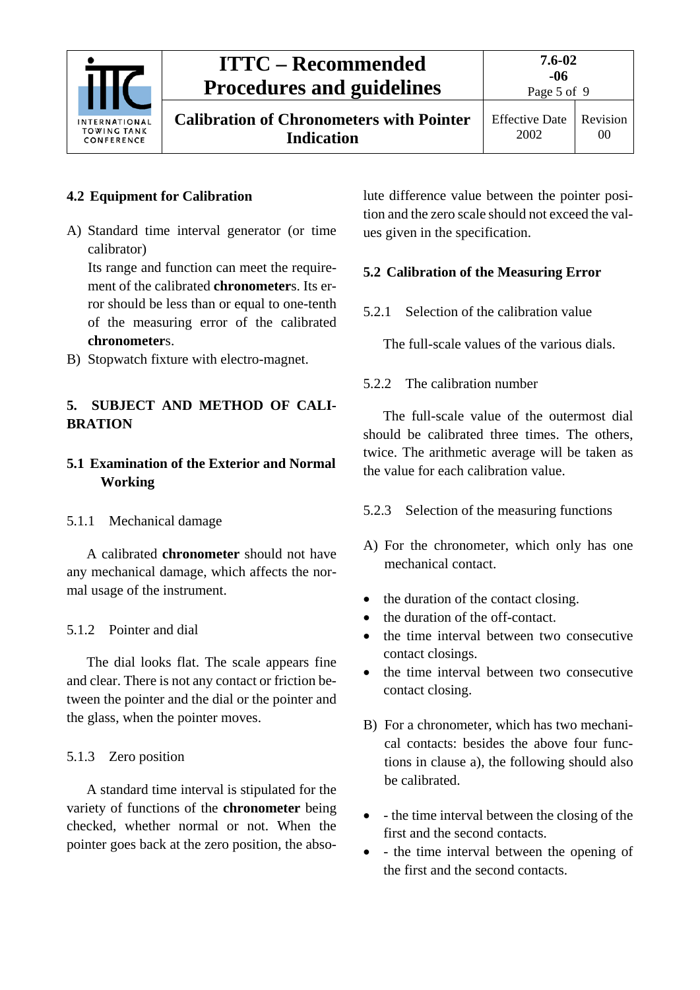

**Calibration of Chronometers with Pointer Indication**

Page 5 of 9

Effective Date 2002

### <span id="page-4-0"></span>**4.2 Equipment for Calibration**

A) Standard time interval generator (or time calibrator)

Its range and function can meet the requirement of the calibrated **chronometer**s. Its error should be less than or equal to one-tenth of the measuring error of the calibrated **chronometer**s.

B) Stopwatch fixture with electro-magnet.

#### <span id="page-4-1"></span>**5. SUBJECT AND METHOD OF CALI-BRATION**

### <span id="page-4-2"></span>**5.1 Examination of the Exterior and Normal Working**

#### <span id="page-4-3"></span>5.1.1 Mechanical damage

A calibrated **chronometer** should not have any mechanical damage, which affects the normal usage of the instrument.

### <span id="page-4-4"></span>5.1.2 Pointer and dial

The dial looks flat. The scale appears fine and clear. There is not any contact or friction between the pointer and the dial or the pointer and the glass, when the pointer moves.

### <span id="page-4-5"></span>5.1.3 Zero position

A standard time interval is stipulated for the variety of functions of the **chronometer** being checked, whether normal or not. When the pointer goes back at the zero position, the absolute difference value between the pointer position and the zero scale should not exceed the values given in the specification.

### <span id="page-4-7"></span><span id="page-4-6"></span>**5.2 Calibration of the Measuring Error**

5.2.1 Selection of the calibration value

The full-scale values of the various dials.

### <span id="page-4-8"></span>5.2.2 The calibration number

The full-scale value of the outermost dial should be calibrated three times. The others, twice. The arithmetic average will be taken as the value for each calibration value.

- <span id="page-4-9"></span>5.2.3 Selection of the measuring functions
- A) For the chronometer, which only has one mechanical contact.
- the duration of the contact closing.
- the duration of the off-contact.
- the time interval between two consecutive contact closings.
- the time interval between two consecutive contact closing.
- B) For a chronometer, which has two mechanical contacts: besides the above four functions in clause a), the following should also be calibrated.
- - the time interval between the closing of the first and the second contacts.
- - the time interval between the opening of the first and the second contacts.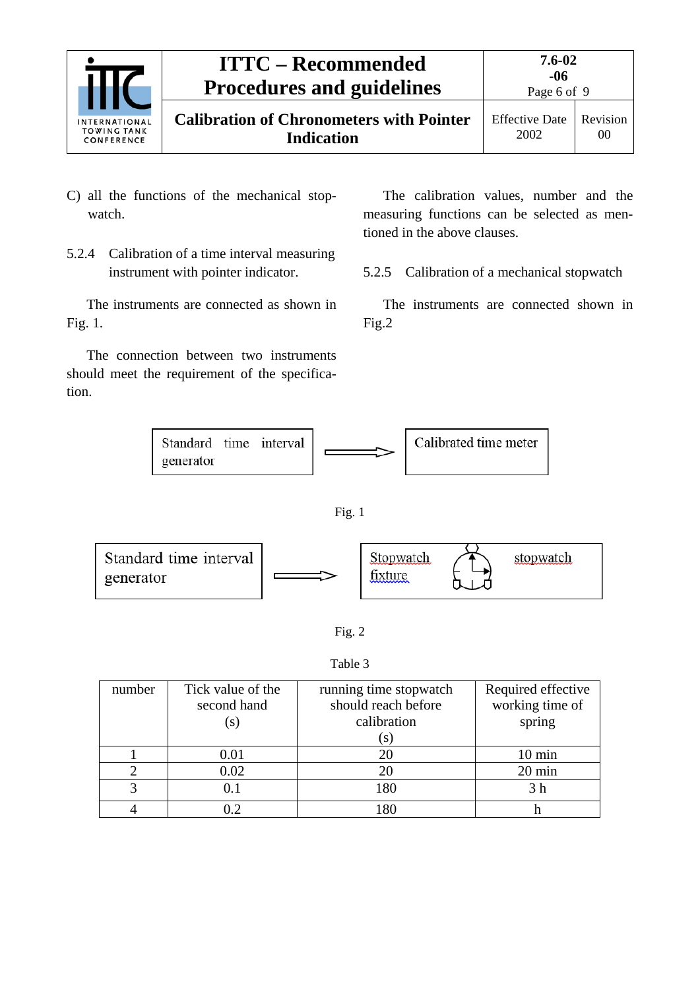

- C) all the functions of the mechanical stopwatch.
- <span id="page-5-0"></span>5.2.4 Calibration of a time interval measuring instrument with pointer indicator.

The instruments are connected as shown in Fig. 1.

The connection between two instruments should meet the requirement of the specification.

The calibration values, number and the measuring functions can be selected as mentioned in the above clauses.

<span id="page-5-1"></span>5.2.5 Calibration of a mechanical stopwatch

The instruments are connected shown in Fig.2



Fig. 1





Table 3

| number | Tick value of the<br>second hand<br>(S) | running time stopwatch<br>should reach before<br>calibration<br>$\mathcal{S}$ | Required effective<br>working time of<br>spring |
|--------|-----------------------------------------|-------------------------------------------------------------------------------|-------------------------------------------------|
|        | 0.01                                    | 20                                                                            | $10 \text{ min}$                                |
|        | 0.02                                    | 20                                                                            | 20 min                                          |
|        | 0.1                                     | 180                                                                           |                                                 |
|        | 0.2                                     | -80                                                                           |                                                 |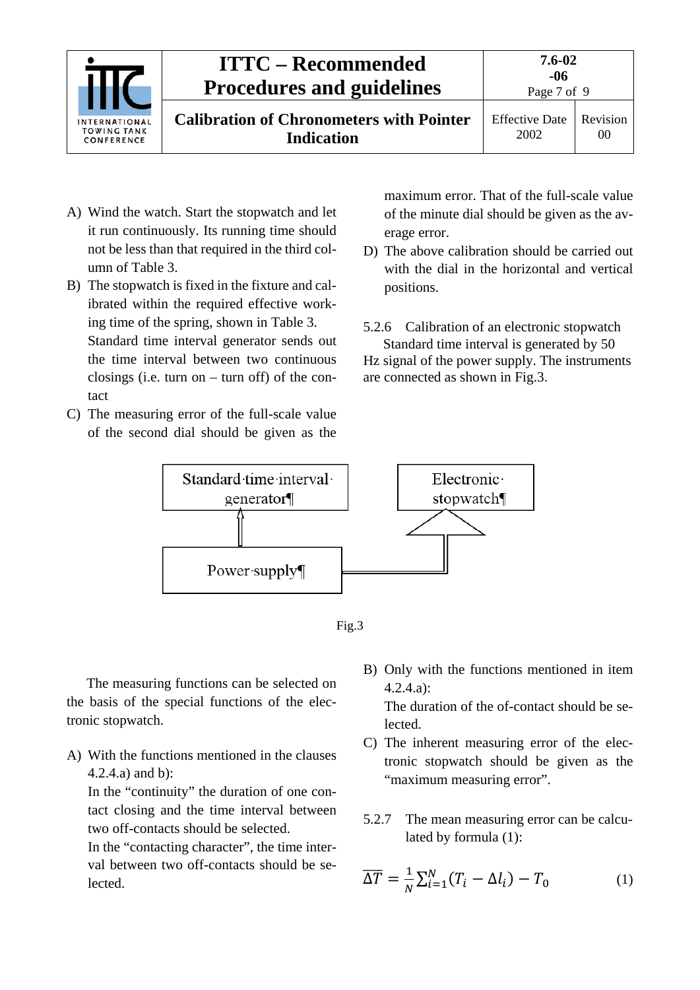

- A) Wind the watch. Start the stopwatch and let it run continuously. Its running time should not be less than that required in the third column of Table 3.
- B) The stopwatch is fixed in the fixture and calibrated within the required effective working time of the spring, shown in Table 3. Standard time interval generator sends out the time interval between two continuous closings (i.e. turn on – turn off) of the contact
- C) The measuring error of the full-scale value of the second dial should be given as the

maximum error. That of the full-scale value of the minute dial should be given as the average error.

D) The above calibration should be carried out with the dial in the horizontal and vertical positions.

<span id="page-6-0"></span>5.2.6 Calibration of an electronic stopwatch Standard time interval is generated by 50

Hz signal of the power supply. The instruments are connected as shown in Fig.3.



Fig.3

The measuring functions can be selected on the basis of the special functions of the electronic stopwatch.

A) With the functions mentioned in the clauses 4.2.4.a) and b):

In the "continuity" the duration of one contact closing and the time interval between two off-contacts should be selected.

In the "contacting character", the time interval between two off-contacts should be selected.

B) Only with the functions mentioned in item 4.2.4.a):

The duration of the of-contact should be selected.

- C) The inherent measuring error of the electronic stopwatch should be given as the "maximum measuring error".
- <span id="page-6-1"></span>5.2.7 The mean measuring error can be calculated by formula (1):

$$
\overline{\Delta T} = \frac{1}{N} \sum_{i=1}^{N} (T_i - \Delta l_i) - T_0 \tag{1}
$$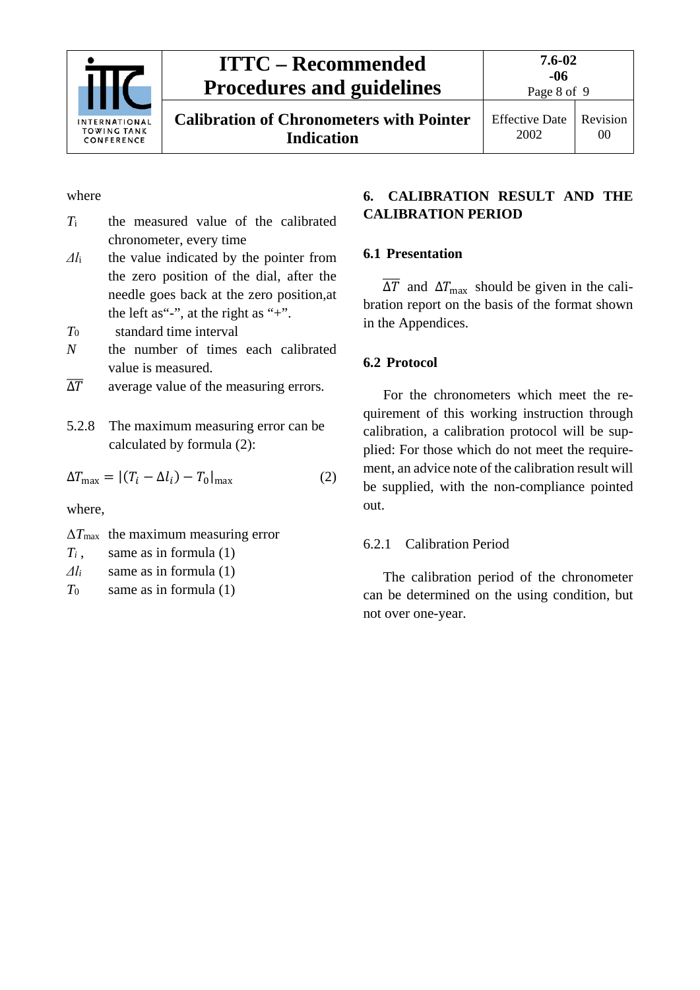

**Calibration of Chronometers with Pointer Indication**

Effective Date 2002 Revision 00

#### where

- *T*<sup>i</sup> the measured value of the calibrated chronometer, every time
- *Δl*<sup>i</sup> the value indicated by the pointer from the zero position of the dial, after the needle goes back at the zero position,at the left as "-", at the right as "+".
- *T*<sup>0</sup> standard time interval
- *N* the number of times each calibrated value is measured.
- <span id="page-7-0"></span> $\overline{\Lambda}$ <sup> $\overline{T}$ </sup> average value of the measuring errors.
- 5.2.8 The maximum measuring error can be calculated by formula (2):

$$
\Delta T_{\text{max}} = |(T_i - \Delta l_i) - T_0|_{\text{max}} \tag{2}
$$

where,

- Δ*T*max the maximum measuring error
- *Ti* , same as in formula (1)
- *Δl<sup>i</sup>* same as in formula (1)
- *T*<sup>0</sup> same as in formula (1)

#### <span id="page-7-1"></span>**6. CALIBRATION RESULT AND THE CALIBRATION PERIOD**

#### <span id="page-7-2"></span>**6.1 Presentation**

 $\overline{\Delta T}$  and  $\Delta T_{\text{max}}$  should be given in the calibration report on the basis of the format shown in the Appendices.

#### <span id="page-7-3"></span>**6.2 Protocol**

For the chronometers which meet the requirement of this working instruction through calibration, a calibration protocol will be supplied: For those which do not meet the requirement, an advice note of the calibration result will be supplied, with the non-compliance pointed out.

#### <span id="page-7-4"></span>6.2.1 Calibration Period

The calibration period of the chronometer can be determined on the using condition, but not over one-year.